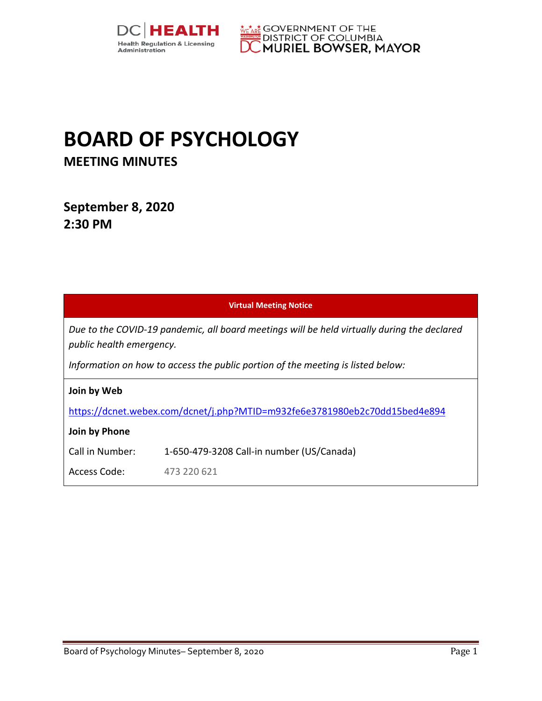



## **BOARD OF PSYCHOLOGY MEETING MINUTES**

**September 8, 2020 2:30 PM** 

| <b>Virtual Meeting Notice</b>                                                                                           |                                           |
|-------------------------------------------------------------------------------------------------------------------------|-------------------------------------------|
| Due to the COVID-19 pandemic, all board meetings will be held virtually during the declared<br>public health emergency. |                                           |
| Information on how to access the public portion of the meeting is listed below:                                         |                                           |
| Join by Web                                                                                                             |                                           |
| https://dcnet.webex.com/dcnet/j.php?MTID=m932fe6e3781980eb2c70dd15bed4e894                                              |                                           |
| Join by Phone                                                                                                           |                                           |
| Call in Number:                                                                                                         | 1-650-479-3208 Call-in number (US/Canada) |
| Access Code:                                                                                                            | 473 220 621                               |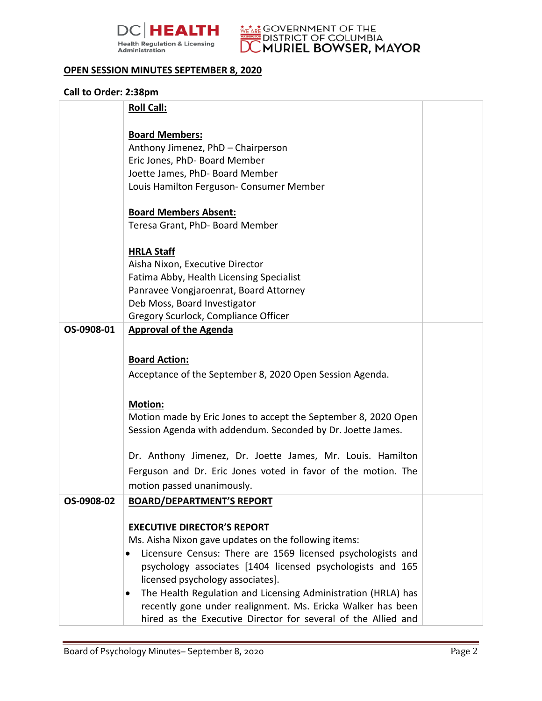



## **OPEN SESSION MINUTES SEPTEMBER 8, 2020**

## **Call to Order: 2:38pm**

|            | <b>Roll Call:</b>                                              |  |
|------------|----------------------------------------------------------------|--|
|            | <b>Board Members:</b>                                          |  |
|            | Anthony Jimenez, PhD - Chairperson                             |  |
|            | Eric Jones, PhD- Board Member                                  |  |
|            | Joette James, PhD- Board Member                                |  |
|            | Louis Hamilton Ferguson- Consumer Member                       |  |
|            |                                                                |  |
|            | <b>Board Members Absent:</b>                                   |  |
|            | Teresa Grant, PhD- Board Member                                |  |
|            | <b>HRLA Staff</b>                                              |  |
|            | Aisha Nixon, Executive Director                                |  |
|            | Fatima Abby, Health Licensing Specialist                       |  |
|            | Panravee Vongjaroenrat, Board Attorney                         |  |
|            | Deb Moss, Board Investigator                                   |  |
|            | Gregory Scurlock, Compliance Officer                           |  |
| OS-0908-01 | <b>Approval of the Agenda</b>                                  |  |
|            |                                                                |  |
|            | <b>Board Action:</b>                                           |  |
|            | Acceptance of the September 8, 2020 Open Session Agenda.       |  |
|            |                                                                |  |
|            | <b>Motion:</b>                                                 |  |
|            | Motion made by Eric Jones to accept the September 8, 2020 Open |  |
|            | Session Agenda with addendum. Seconded by Dr. Joette James.    |  |
|            |                                                                |  |
|            | Dr. Anthony Jimenez, Dr. Joette James, Mr. Louis. Hamilton     |  |
|            | Ferguson and Dr. Eric Jones voted in favor of the motion. The  |  |
|            | motion passed unanimously.                                     |  |
| OS-0908-02 | <b>BOARD/DEPARTMENT'S REPORT</b>                               |  |
|            |                                                                |  |
|            | <b>EXECUTIVE DIRECTOR'S REPORT</b>                             |  |
|            | Ms. Aisha Nixon gave updates on the following items:           |  |
|            | Licensure Census: There are 1569 licensed psychologists and    |  |
|            | psychology associates [1404 licensed psychologists and 165     |  |
|            | licensed psychology associates].                               |  |
|            | The Health Regulation and Licensing Administration (HRLA) has  |  |
|            | recently gone under realignment. Ms. Ericka Walker has been    |  |
|            | hired as the Executive Director for several of the Allied and  |  |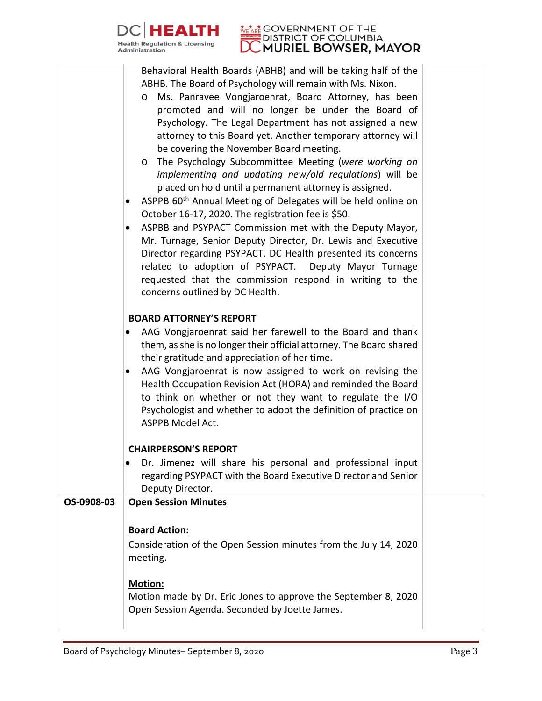

## **EALTH** MEAR GOVERNMENT OF THE MURIEL BOWSER, MAYOR

Behavioral Health Boards (ABHB) and will be taking half of the ABHB. The Board of Psychology will remain with Ms. Nixon.

|            | Ms. Panravee Vongjaroenrat, Board Attorney, has been<br>$\circ$<br>promoted and will no longer be under the Board of<br>Psychology. The Legal Department has not assigned a new<br>attorney to this Board yet. Another temporary attorney will<br>be covering the November Board meeting.<br>The Psychology Subcommittee Meeting (were working on<br>$\circ$<br>implementing and updating new/old regulations) will be<br>placed on hold until a permanent attorney is assigned.<br>ASPPB 60 <sup>th</sup> Annual Meeting of Delegates will be held online on<br>٠<br>October 16-17, 2020. The registration fee is \$50.<br>ASPBB and PSYPACT Commission met with the Deputy Mayor,<br>$\bullet$<br>Mr. Turnage, Senior Deputy Director, Dr. Lewis and Executive<br>Director regarding PSYPACT. DC Health presented its concerns<br>related to adoption of PSYPACT. Deputy Mayor Turnage<br>requested that the commission respond in writing to the<br>concerns outlined by DC Health. |  |
|------------|----------------------------------------------------------------------------------------------------------------------------------------------------------------------------------------------------------------------------------------------------------------------------------------------------------------------------------------------------------------------------------------------------------------------------------------------------------------------------------------------------------------------------------------------------------------------------------------------------------------------------------------------------------------------------------------------------------------------------------------------------------------------------------------------------------------------------------------------------------------------------------------------------------------------------------------------------------------------------------------|--|
|            | <b>BOARD ATTORNEY'S REPORT</b>                                                                                                                                                                                                                                                                                                                                                                                                                                                                                                                                                                                                                                                                                                                                                                                                                                                                                                                                                         |  |
|            | AAG Vongjaroenrat said her farewell to the Board and thank<br>them, as she is no longer their official attorney. The Board shared<br>their gratitude and appreciation of her time.<br>AAG Vongjaroenrat is now assigned to work on revising the<br>$\bullet$<br>Health Occupation Revision Act (HORA) and reminded the Board<br>to think on whether or not they want to regulate the I/O<br>Psychologist and whether to adopt the definition of practice on<br>ASPPB Model Act.                                                                                                                                                                                                                                                                                                                                                                                                                                                                                                        |  |
|            | <b>CHAIRPERSON'S REPORT</b>                                                                                                                                                                                                                                                                                                                                                                                                                                                                                                                                                                                                                                                                                                                                                                                                                                                                                                                                                            |  |
|            | Dr. Jimenez will share his personal and professional input<br>٠<br>regarding PSYPACT with the Board Executive Director and Senior<br>Deputy Director.                                                                                                                                                                                                                                                                                                                                                                                                                                                                                                                                                                                                                                                                                                                                                                                                                                  |  |
| OS-0908-03 | <b>Open Session Minutes</b>                                                                                                                                                                                                                                                                                                                                                                                                                                                                                                                                                                                                                                                                                                                                                                                                                                                                                                                                                            |  |
|            | <b>Board Action:</b><br>Consideration of the Open Session minutes from the July 14, 2020<br>meeting.<br><b>Motion:</b><br>Motion made by Dr. Eric Jones to approve the September 8, 2020                                                                                                                                                                                                                                                                                                                                                                                                                                                                                                                                                                                                                                                                                                                                                                                               |  |
|            | Open Session Agenda. Seconded by Joette James.                                                                                                                                                                                                                                                                                                                                                                                                                                                                                                                                                                                                                                                                                                                                                                                                                                                                                                                                         |  |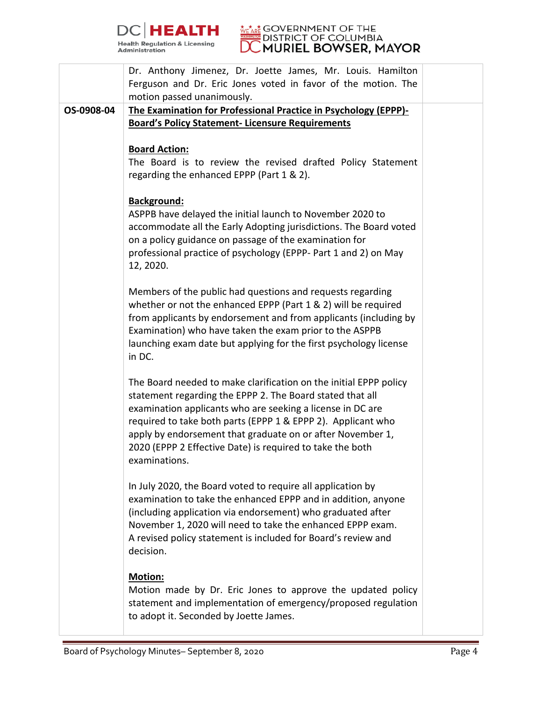



|            | Dr. Anthony Jimenez, Dr. Joette James, Mr. Louis. Hamilton<br>Ferguson and Dr. Eric Jones voted in favor of the motion. The                                                                                                                                                                                                                                                                              |  |
|------------|----------------------------------------------------------------------------------------------------------------------------------------------------------------------------------------------------------------------------------------------------------------------------------------------------------------------------------------------------------------------------------------------------------|--|
|            | motion passed unanimously.                                                                                                                                                                                                                                                                                                                                                                               |  |
| OS-0908-04 | The Examination for Professional Practice in Psychology (EPPP)-                                                                                                                                                                                                                                                                                                                                          |  |
|            | <b>Board's Policy Statement- Licensure Requirements</b>                                                                                                                                                                                                                                                                                                                                                  |  |
|            | <b>Board Action:</b><br>The Board is to review the revised drafted Policy Statement<br>regarding the enhanced EPPP (Part 1 & 2).                                                                                                                                                                                                                                                                         |  |
|            | Background:<br>ASPPB have delayed the initial launch to November 2020 to<br>accommodate all the Early Adopting jurisdictions. The Board voted<br>on a policy guidance on passage of the examination for<br>professional practice of psychology (EPPP- Part 1 and 2) on May<br>12, 2020.                                                                                                                  |  |
|            | Members of the public had questions and requests regarding<br>whether or not the enhanced EPPP (Part 1 & 2) will be required<br>from applicants by endorsement and from applicants (including by<br>Examination) who have taken the exam prior to the ASPPB<br>launching exam date but applying for the first psychology license<br>in DC.                                                               |  |
|            | The Board needed to make clarification on the initial EPPP policy<br>statement regarding the EPPP 2. The Board stated that all<br>examination applicants who are seeking a license in DC are<br>required to take both parts (EPPP 1 & EPPP 2). Applicant who<br>apply by endorsement that graduate on or after November 1,<br>2020 (EPPP 2 Effective Date) is required to take the both<br>examinations. |  |
|            | In July 2020, the Board voted to require all application by<br>examination to take the enhanced EPPP and in addition, anyone<br>(including application via endorsement) who graduated after<br>November 1, 2020 will need to take the enhanced EPPP exam.<br>A revised policy statement is included for Board's review and<br>decision.                                                                  |  |
|            | <b>Motion:</b><br>Motion made by Dr. Eric Jones to approve the updated policy<br>statement and implementation of emergency/proposed regulation<br>to adopt it. Seconded by Joette James.                                                                                                                                                                                                                 |  |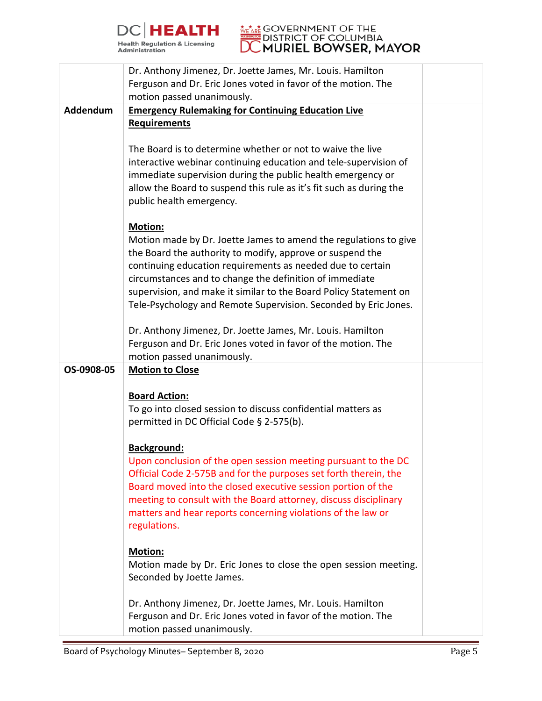



|            | Dr. Anthony Jimenez, Dr. Joette James, Mr. Louis. Hamilton<br>Ferguson and Dr. Eric Jones voted in favor of the motion. The                                                                                                                                                                                                                                                                               |  |
|------------|-----------------------------------------------------------------------------------------------------------------------------------------------------------------------------------------------------------------------------------------------------------------------------------------------------------------------------------------------------------------------------------------------------------|--|
|            | motion passed unanimously.                                                                                                                                                                                                                                                                                                                                                                                |  |
| Addendum   | <b>Emergency Rulemaking for Continuing Education Live</b><br><b>Requirements</b>                                                                                                                                                                                                                                                                                                                          |  |
|            | The Board is to determine whether or not to waive the live<br>interactive webinar continuing education and tele-supervision of<br>immediate supervision during the public health emergency or<br>allow the Board to suspend this rule as it's fit such as during the<br>public health emergency.                                                                                                          |  |
|            | Motion:<br>Motion made by Dr. Joette James to amend the regulations to give<br>the Board the authority to modify, approve or suspend the<br>continuing education requirements as needed due to certain<br>circumstances and to change the definition of immediate<br>supervision, and make it similar to the Board Policy Statement on<br>Tele-Psychology and Remote Supervision. Seconded by Eric Jones. |  |
|            | Dr. Anthony Jimenez, Dr. Joette James, Mr. Louis. Hamilton<br>Ferguson and Dr. Eric Jones voted in favor of the motion. The<br>motion passed unanimously.                                                                                                                                                                                                                                                 |  |
| OS-0908-05 | <b>Motion to Close</b>                                                                                                                                                                                                                                                                                                                                                                                    |  |
|            | <b>Board Action:</b><br>To go into closed session to discuss confidential matters as<br>permitted in DC Official Code § 2-575(b).                                                                                                                                                                                                                                                                         |  |
|            | Background:<br>Upon conclusion of the open session meeting pursuant to the DC<br>Official Code 2-575B and for the purposes set forth therein, the<br>Board moved into the closed executive session portion of the<br>meeting to consult with the Board attorney, discuss disciplinary<br>matters and hear reports concerning violations of the law or<br>regulations.                                     |  |
|            | <b>Motion:</b><br>Motion made by Dr. Eric Jones to close the open session meeting.<br>Seconded by Joette James.                                                                                                                                                                                                                                                                                           |  |
|            | Dr. Anthony Jimenez, Dr. Joette James, Mr. Louis. Hamilton<br>Ferguson and Dr. Eric Jones voted in favor of the motion. The<br>motion passed unanimously.                                                                                                                                                                                                                                                 |  |